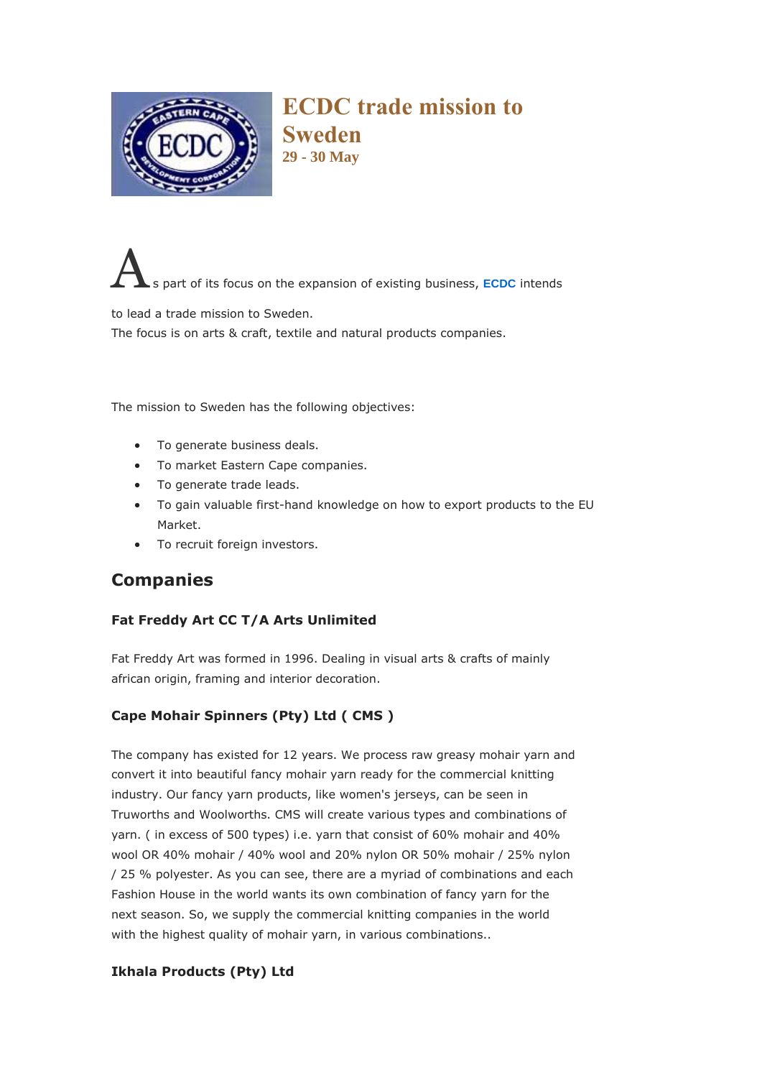

**ECDC trade mission to Sweden 29 - 30 May**

s part of its focus on the expansion of existing business, **[ECDC](http://www.ecdc.co.za/)** intends

to lead a trade mission to Sweden.

The focus is on arts & craft, textile and natural products companies.

The mission to Sweden has the following objectives:

- To generate business deals.
- To market Eastern Cape companies.
- To generate trade leads.
- To gain valuable first-hand knowledge on how to export products to the EU Market.
- To recruit foreign investors.

# **Companies**

### **Fat Freddy Art CC T/A Arts Unlimited**

Fat Freddy Art was formed in 1996. Dealing in visual arts & crafts of mainly african origin, framing and interior decoration.

## **Cape Mohair Spinners (Pty) Ltd ( CMS )**

The company has existed for 12 years. We process raw greasy mohair yarn and convert it into beautiful fancy mohair yarn ready for the commercial knitting industry. Our fancy yarn products, like women's jerseys, can be seen in Truworths and Woolworths. CMS will create various types and combinations of yarn. ( in excess of 500 types) i.e. yarn that consist of 60% mohair and 40% wool OR 40% mohair / 40% wool and 20% nylon OR 50% mohair / 25% nylon / 25 % polyester. As you can see, there are a myriad of combinations and each Fashion House in the world wants its own combination of fancy yarn for the next season. So, we supply the commercial knitting companies in the world with the highest quality of mohair yarn, in various combinations..

### **Ikhala Products (Pty) Ltd**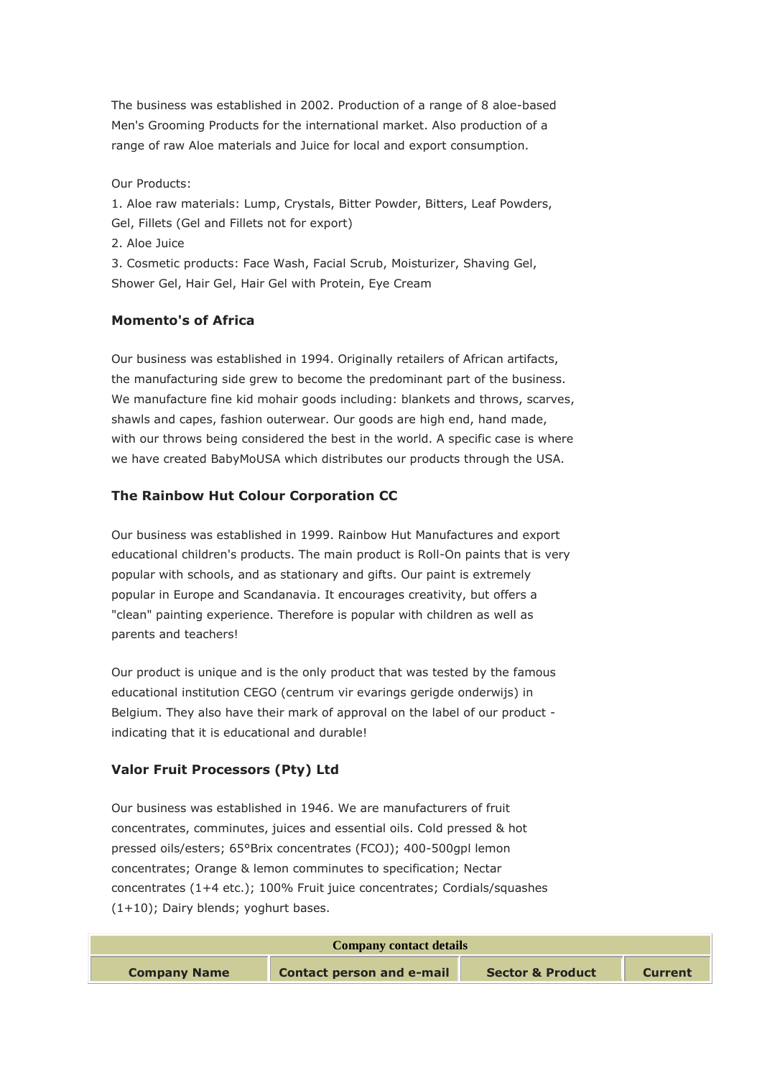The business was established in 2002. Production of a range of 8 aloe-based Men's Grooming Products for the international market. Also production of a range of raw Aloe materials and Juice for local and export consumption.

Our Products:

1. Aloe raw materials: Lump, Crystals, Bitter Powder, Bitters, Leaf Powders, Gel, Fillets (Gel and Fillets not for export)

2. Aloe Juice

3. Cosmetic products: Face Wash, Facial Scrub, Moisturizer, Shaving Gel, Shower Gel, Hair Gel, Hair Gel with Protein, Eye Cream

#### **Momento's of Africa**

Our business was established in 1994. Originally retailers of African artifacts, the manufacturing side grew to become the predominant part of the business. We manufacture fine kid mohair goods including: blankets and throws, scarves, shawls and capes, fashion outerwear. Our goods are high end, hand made, with our throws being considered the best in the world. A specific case is where we have created BabyMoUSA which distributes our products through the USA.

### **The Rainbow Hut Colour Corporation CC**

Our business was established in 1999. Rainbow Hut Manufactures and export educational children's products. The main product is Roll-On paints that is very popular with schools, and as stationary and gifts. Our paint is extremely popular in Europe and Scandanavia. It encourages creativity, but offers a "clean" painting experience. Therefore is popular with children as well as parents and teachers!

Our product is unique and is the only product that was tested by the famous educational institution CEGO (centrum vir evarings gerigde onderwijs) in Belgium. They also have their mark of approval on the label of our product indicating that it is educational and durable!

### **Valor Fruit Processors (Pty) Ltd**

Our business was established in 1946. We are manufacturers of fruit concentrates, comminutes, juices and essential oils. Cold pressed & hot pressed oils/esters; 65°Brix concentrates (FCOJ); 400-500gpl lemon concentrates; Orange & lemon comminutes to specification; Nectar concentrates (1+4 etc.); 100% Fruit juice concentrates; Cordials/squashes (1+10); Dairy blends; yoghurt bases.

| <b>Company contact details</b> |                                  |                             |                |  |
|--------------------------------|----------------------------------|-----------------------------|----------------|--|
| <b>Company Name</b>            | <b>Contact person and e-mail</b> | <b>Sector &amp; Product</b> | <b>Current</b> |  |